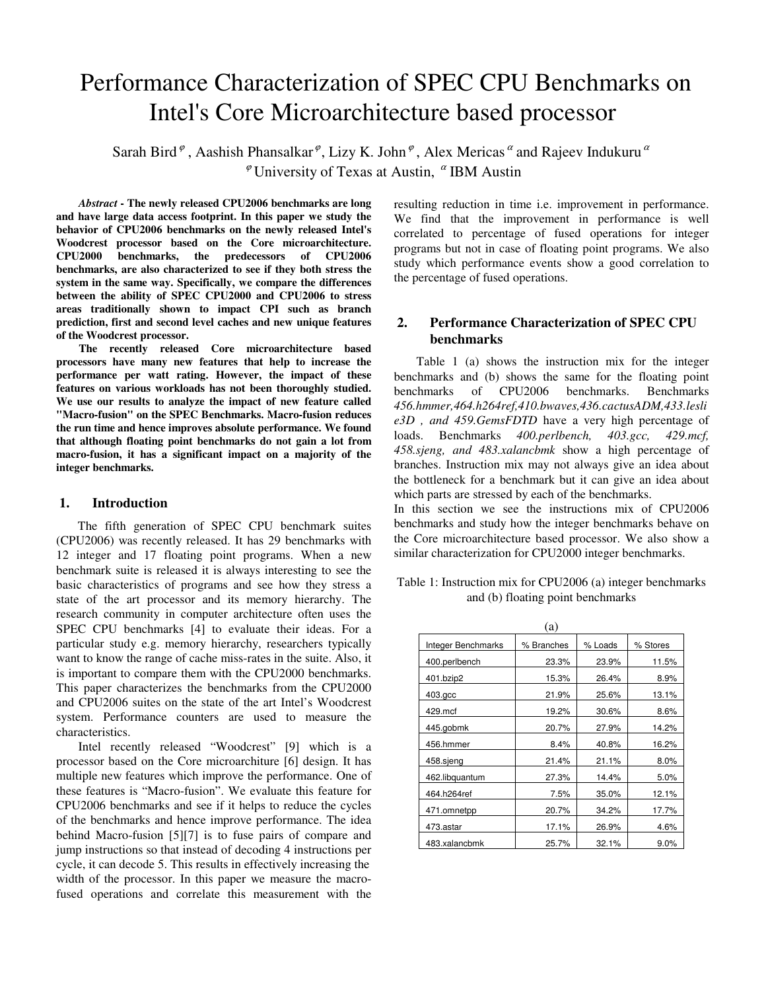# Performance Characterization of SPEC CPU Benchmarks on Intel's Core Microarchitecture based processor

Sarah Bird  $\ell$ , Aashish Phansalkar  $\ell$ , Lizy K. John  $\ell$ , Alex Mericas  $\alpha$  and Rajeev Indukuru  $\alpha$  $^{\varphi}$  University of Texas at Austin,  $^{\alpha}$  IBM Austin

*Abstract* **- The newly released CPU2006 benchmarks are long and have large data access footprint. In this paper we study the behavior of CPU2006 benchmarks on the newly released Intel's Woodcrest processor based on the Core microarchitecture. CPU2000 benchmarks, the predecessors of CPU2006 benchmarks, are also characterized to see if they both stress the system in the same way. Specifically, we compare the differences between the ability of SPEC CPU2000 and CPU2006 to stress areas traditionally shown to impact CPI such as branch prediction, first and second level caches and new unique features of the Woodcrest processor.**

 **The recently released Core microarchitecture based processors have many new features that help to increase the performance per watt rating. However, the impact of these features on various workloads has not been thoroughly studied. We use our results to analyze the impact of new feature called "Macro-fusion" on the SPEC Benchmarks. Macro-fusion reduces the run time and hence improves absolute performance. We found that although floating point benchmarks do not gain a lot from macro-fusion, it has a significant impact on a majority of the integer benchmarks.** 

## **1. Introduction**

 The fifth generation of SPEC CPU benchmark suites (CPU2006) was recently released. It has 29 benchmarks with 12 integer and 17 floating point programs. When a new benchmark suite is released it is always interesting to see the basic characteristics of programs and see how they stress a state of the art processor and its memory hierarchy. The research community in computer architecture often uses the SPEC CPU benchmarks [4] to evaluate their ideas. For a particular study e.g. memory hierarchy, researchers typically want to know the range of cache miss-rates in the suite. Also, it is important to compare them with the CPU2000 benchmarks. This paper characterizes the benchmarks from the CPU2000 and CPU2006 suites on the state of the art Intel's Woodcrest system. Performance counters are used to measure the characteristics.

 Intel recently released "Woodcrest" [9] which is a processor based on the Core microarchiture [6] design. It has multiple new features which improve the performance. One of these features is "Macro-fusion". We evaluate this feature for CPU2006 benchmarks and see if it helps to reduce the cycles of the benchmarks and hence improve performance. The idea behind Macro-fusion [5][7] is to fuse pairs of compare and jump instructions so that instead of decoding 4 instructions per cycle, it can decode 5. This results in effectively increasing the width of the processor. In this paper we measure the macrofused operations and correlate this measurement with the

resulting reduction in time i.e. improvement in performance. We find that the improvement in performance is well correlated to percentage of fused operations for integer programs but not in case of floating point programs. We also study which performance events show a good correlation to the percentage of fused operations.

# **2. Performance Characterization of SPEC CPU benchmarks**

Table 1 (a) shows the instruction mix for the integer benchmarks and (b) shows the same for the floating point benchmarks of CPU2006 benchmarks. Benchmarks *456.hmmer,464.h264ref,410.bwaves,436.cactusADM,433.lesli e3D , and 459.GemsFDTD* have a very high percentage of loads. Benchmarks *400.perlbench, 403.gcc, 429.mcf, 458.sjeng, and 483.xalancbmk* show a high percentage of branches. Instruction mix may not always give an idea about the bottleneck for a benchmark but it can give an idea about which parts are stressed by each of the benchmarks. In this section we see the instructions mix of CPU2006 benchmarks and study how the integer benchmarks behave on the Core microarchitecture based processor. We also show a similar characterization for CPU2000 integer benchmarks.

| Table 1: Instruction mix for CPU2006 (a) integer benchmarks |
|-------------------------------------------------------------|
| and (b) floating point benchmarks                           |

|                    | (a)        |         |          |
|--------------------|------------|---------|----------|
| Integer Benchmarks | % Branches | % Loads | % Stores |
| 400.perlbench      | 23.3%      | 23.9%   | 11.5%    |
| 401.bzip2          | 15.3%      | 26.4%   | $8.9\%$  |
| 403.gcc            | 21.9%      | 25.6%   | 13.1%    |
| 429.mcf            | 19.2%      | 30.6%   | 8.6%     |
| 445.gobmk          | 20.7%      | 27.9%   | 14.2%    |
| 456.hmmer          | 8.4%       | 40.8%   | 16.2%    |
| 458.sjeng          | 21.4%      | 21.1%   | 8.0%     |
| 462.libquantum     | 27.3%      | 14.4%   | 5.0%     |
| 464.h264ref        | 7.5%       | 35.0%   | 12.1%    |
| 471.omnetpp        | 20.7%      | 34.2%   | 17.7%    |
| 473.astar          | 17.1%      | 26.9%   | 4.6%     |
| 483.xalancbmk      | 25.7%      | 32.1%   | $9.0\%$  |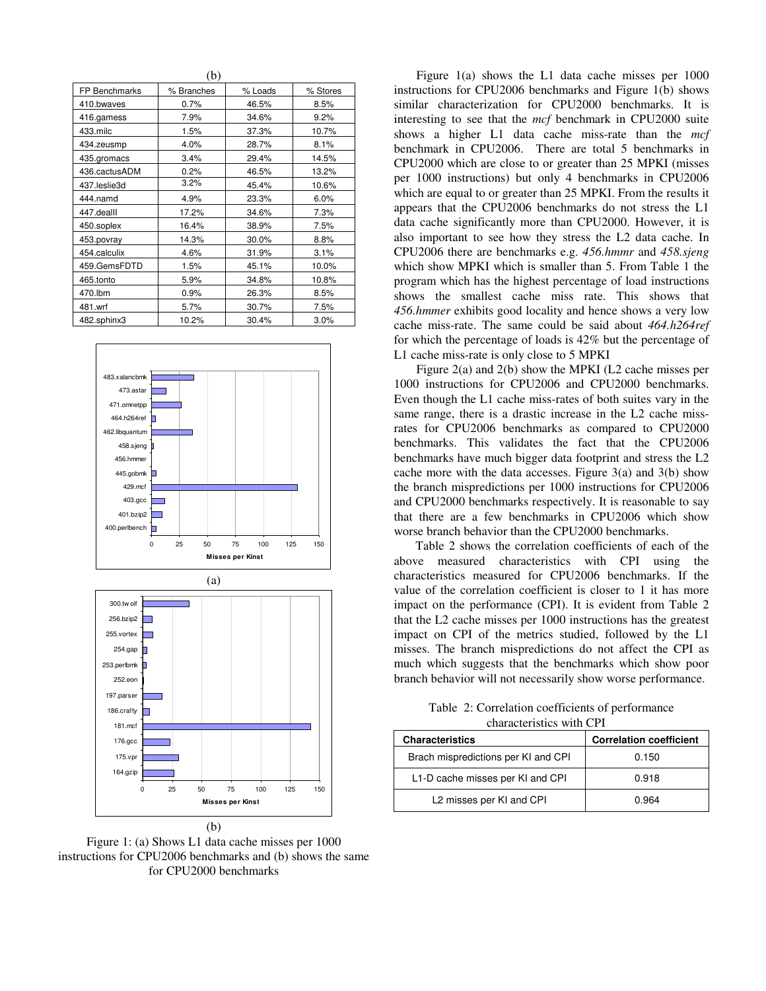|               | ( U J      |         |          |
|---------------|------------|---------|----------|
| FP Benchmarks | % Branches | % Loads | % Stores |
| 410.bwaves    | 0.7%       | 46.5%   | 8.5%     |
| 416.gamess    | 7.9%       | 34.6%   | 9.2%     |
| 433.milc      | 1.5%       | 37.3%   | 10.7%    |
| 434.zeusmp    | 4.0%       | 28.7%   | 8.1%     |
| 435.gromacs   | 3.4%       | 29.4%   | 14.5%    |
| 436.cactusADM | 0.2%       | 46.5%   | 13.2%    |
| 437.leslie3d  | 3.2%       | 45.4%   | 10.6%    |
| 444.namd      | 4.9%       | 23.3%   | 6.0%     |
| 447.dealll    | 17.2%      | 34.6%   | 7.3%     |
| 450.soplex    | 16.4%      | 38.9%   | 7.5%     |
| 453.povray    | 14.3%      | 30.0%   | 8.8%     |
| 454.calculix  | 4.6%       | 31.9%   | 3.1%     |
| 459.GemsFDTD  | 1.5%       | 45.1%   | 10.0%    |
| 465.tonto     | 5.9%       | 34.8%   | 10.8%    |
| 470.lbm       | 0.9%       | 26.3%   | 8.5%     |
| 481.wrf       | 5.7%       | 30.7%   | 7.5%     |
| 482.sphinx3   | 10.2%      | 30.4%   | 3.0%     |

 $(h)$ 



Figure 1: (a) Shows L1 data cache misses per 1000 instructions for CPU2006 benchmarks and (b) shows the same for CPU2000 benchmarks

Figure 1(a) shows the L1 data cache misses per 1000 instructions for CPU2006 benchmarks and Figure 1(b) shows similar characterization for CPU2000 benchmarks. It is interesting to see that the *mcf* benchmark in CPU2000 suite shows a higher L1 data cache miss-rate than the *mcf*  benchmark in CPU2006. There are total 5 benchmarks in CPU2000 which are close to or greater than 25 MPKI (misses per 1000 instructions) but only 4 benchmarks in CPU2006 which are equal to or greater than 25 MPKI. From the results it appears that the CPU2006 benchmarks do not stress the L1 data cache significantly more than CPU2000. However, it is also important to see how they stress the L2 data cache. In CPU2006 there are benchmarks e.g. *456.hmmr* and *458.sjeng* which show MPKI which is smaller than 5. From Table 1 the program which has the highest percentage of load instructions shows the smallest cache miss rate. This shows that *456.hmmer* exhibits good locality and hence shows a very low cache miss-rate. The same could be said about *464.h264ref* for which the percentage of loads is 42% but the percentage of L1 cache miss-rate is only close to 5 MPKI

Figure 2(a) and 2(b) show the MPKI (L2 cache misses per 1000 instructions for CPU2006 and CPU2000 benchmarks. Even though the L1 cache miss-rates of both suites vary in the same range, there is a drastic increase in the L2 cache missrates for CPU2006 benchmarks as compared to CPU2000 benchmarks. This validates the fact that the CPU2006 benchmarks have much bigger data footprint and stress the L2 cache more with the data accesses. Figure  $3(a)$  and  $3(b)$  show the branch mispredictions per 1000 instructions for CPU2006 and CPU2000 benchmarks respectively. It is reasonable to say that there are a few benchmarks in CPU2006 which show worse branch behavior than the CPU2000 benchmarks.

Table 2 shows the correlation coefficients of each of the above measured characteristics with CPI using the characteristics measured for CPU2006 benchmarks. If the value of the correlation coefficient is closer to 1 it has more impact on the performance (CPI). It is evident from Table 2 that the L2 cache misses per 1000 instructions has the greatest impact on CPI of the metrics studied, followed by the L1 misses. The branch mispredictions do not affect the CPI as much which suggests that the benchmarks which show poor branch behavior will not necessarily show worse performance.

Table 2: Correlation coefficients of performance characteristics with CPI

| <b>Characteristics</b>               | <b>Correlation coefficient</b> |
|--------------------------------------|--------------------------------|
| Brach mispredictions per KI and CPI  | 0.150                          |
| L1-D cache misses per KI and CPI     | 0.918                          |
| L <sub>2</sub> misses per KI and CPI | 0.964                          |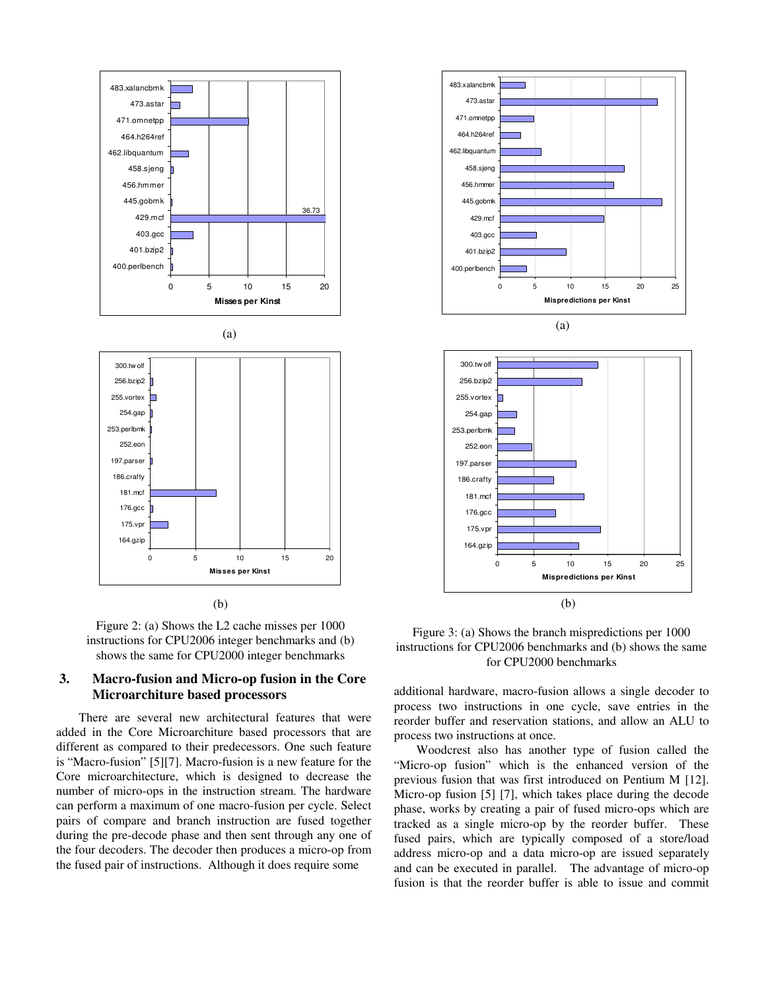

(b)



# **3. Macro-fusion and Micro-op fusion in the Core Microarchiture based processors**

There are several new architectural features that were added in the Core Microarchiture based processors that are different as compared to their predecessors. One such feature is "Macro-fusion" [5][7]. Macro-fusion is a new feature for the Core microarchitecture, which is designed to decrease the number of micro-ops in the instruction stream. The hardware can perform a maximum of one macro-fusion per cycle. Select pairs of compare and branch instruction are fused together during the pre-decode phase and then sent through any one of the four decoders. The decoder then produces a micro-op from the fused pair of instructions. Although it does require some





Figure 3: (a) Shows the branch mispredictions per 1000 instructions for CPU2006 benchmarks and (b) shows the same for CPU2000 benchmarks

additional hardware, macro-fusion allows a single decoder to process two instructions in one cycle, save entries in the reorder buffer and reservation stations, and allow an ALU to process two instructions at once.

Woodcrest also has another type of fusion called the "Micro-op fusion" which is the enhanced version of the previous fusion that was first introduced on Pentium M [12]. Micro-op fusion [5] [7], which takes place during the decode phase, works by creating a pair of fused micro-ops which are tracked as a single micro-op by the reorder buffer. These fused pairs, which are typically composed of a store/load address micro-op and a data micro-op are issued separately and can be executed in parallel. The advantage of micro-op fusion is that the reorder buffer is able to issue and commit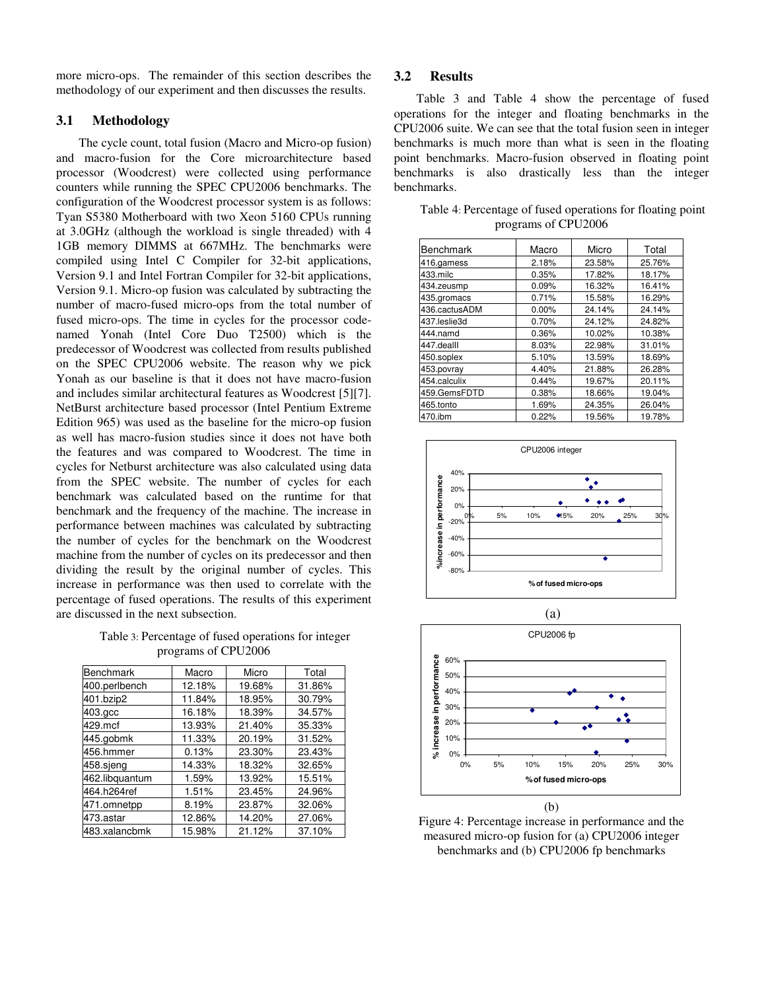more micro-ops. The remainder of this section describes the methodology of our experiment and then discusses the results.

# **3.1 Methodology**

The cycle count, total fusion (Macro and Micro-op fusion) and macro-fusion for the Core microarchitecture based processor (Woodcrest) were collected using performance counters while running the SPEC CPU2006 benchmarks. The configuration of the Woodcrest processor system is as follows: Tyan S5380 Motherboard with two Xeon 5160 CPUs running at 3.0GHz (although the workload is single threaded) with 4 1GB memory DIMMS at 667MHz. The benchmarks were compiled using Intel C Compiler for 32-bit applications, Version 9.1 and Intel Fortran Compiler for 32-bit applications, Version 9.1. Micro-op fusion was calculated by subtracting the number of macro-fused micro-ops from the total number of fused micro-ops. The time in cycles for the processor codenamed Yonah (Intel Core Duo T2500) which is the predecessor of Woodcrest was collected from results published on the SPEC CPU2006 website. The reason why we pick Yonah as our baseline is that it does not have macro-fusion and includes similar architectural features as Woodcrest [5][7]. NetBurst architecture based processor (Intel Pentium Extreme Edition 965) was used as the baseline for the micro-op fusion as well has macro-fusion studies since it does not have both the features and was compared to Woodcrest. The time in cycles for Netburst architecture was also calculated using data from the SPEC website. The number of cycles for each benchmark was calculated based on the runtime for that benchmark and the frequency of the machine. The increase in performance between machines was calculated by subtracting the number of cycles for the benchmark on the Woodcrest machine from the number of cycles on its predecessor and then dividing the result by the original number of cycles. This increase in performance was then used to correlate with the percentage of fused operations. The results of this experiment are discussed in the next subsection.

Table 3: Percentage of fused operations for integer programs of CPU2006

| <b>Benchmark</b> | Macro  | Micro  | Total  |
|------------------|--------|--------|--------|
| 400.perlbench    | 12.18% | 19.68% | 31.86% |
| 401.bzip2        | 11.84% | 18.95% | 30.79% |
| 403.gcc          | 16.18% | 18.39% | 34.57% |
| 429.mcf          | 13.93% | 21.40% | 35.33% |
| 445.gobmk        | 11.33% | 20.19% | 31.52% |
| 456.hmmer        | 0.13%  | 23.30% | 23.43% |
| 458.sieng        | 14.33% | 18.32% | 32.65% |
| 462.libquantum   | 1.59%  | 13.92% | 15.51% |
| 464.h264ref      | 1.51%  | 23.45% | 24.96% |
| 471.omnetpp      | 8.19%  | 23.87% | 32.06% |
| 473.astar        | 12.86% | 14.20% | 27.06% |
| 483.xalancbmk    | 15.98% | 21.12% | 37.10% |

### **3.2 Results**

Table 3 and Table 4 show the percentage of fused operations for the integer and floating benchmarks in the CPU2006 suite. We can see that the total fusion seen in integer benchmarks is much more than what is seen in the floating point benchmarks. Macro-fusion observed in floating point benchmarks is also drastically less than the integer benchmarks.

| Benchmark     | Macro | Micro  | Total  |
|---------------|-------|--------|--------|
| 416.gamess    | 2.18% | 23.58% | 25.76% |
| 433.milc      | 0.35% | 17.82% | 18.17% |
| 434.zeusmp    | 0.09% | 16.32% | 16.41% |
| 435.gromacs   | 0.71% | 15.58% | 16.29% |
| 436.cactusADM | 0.00% | 24.14% | 24.14% |
| 437.leslie3d  | 0.70% | 24.12% | 24.82% |
| 444.namd      | 0.36% | 10.02% | 10.38% |
| 447.dealll    | 8.03% | 22.98% | 31.01% |
| 450.soplex    | 5.10% | 13.59% | 18.69% |
| 453.povray    | 4.40% | 21.88% | 26.28% |
| 454.calculix  | 0.44% | 19.67% | 20.11% |
| 459.GemsFDTD  | 0.38% | 18.66% | 19.04% |
| 465.tonto     | 1.69% | 24.35% | 26.04% |
| 470.ibm       | 0.22% | 19.56% | 19.78% |

Table 4: Percentage of fused operations for floating point programs of CPU2006





Figure 4: Percentage increase in performance and the measured micro-op fusion for (a) CPU2006 integer benchmarks and (b) CPU2006 fp benchmarks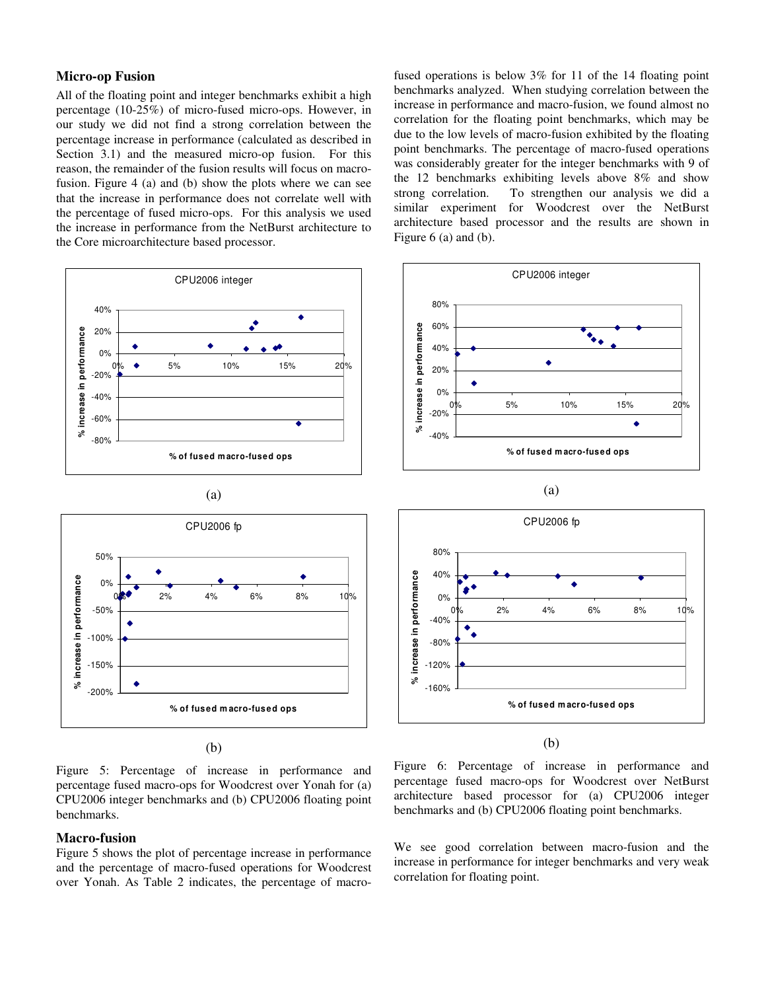# **Micro-op Fusion**

All of the floating point and integer benchmarks exhibit a high percentage (10-25%) of micro-fused micro-ops. However, in our study we did not find a strong correlation between the percentage increase in performance (calculated as described in Section 3.1) and the measured micro-op fusion. For this reason, the remainder of the fusion results will focus on macrofusion. Figure 4 (a) and (b) show the plots where we can see that the increase in performance does not correlate well with the percentage of fused micro-ops. For this analysis we used the increase in performance from the NetBurst architecture to the Core microarchitecture based processor.







Figure 5: Percentage of increase in performance and percentage fused macro-ops for Woodcrest over Yonah for (a) CPU2006 integer benchmarks and (b) CPU2006 floating point benchmarks.

#### **Macro-fusion**

Figure 5 shows the plot of percentage increase in performance and the percentage of macro-fused operations for Woodcrest over Yonah. As Table 2 indicates, the percentage of macrofused operations is below 3% for 11 of the 14 floating point benchmarks analyzed. When studying correlation between the increase in performance and macro-fusion, we found almost no correlation for the floating point benchmarks, which may be due to the low levels of macro-fusion exhibited by the floating point benchmarks. The percentage of macro-fused operations was considerably greater for the integer benchmarks with 9 of the 12 benchmarks exhibiting levels above 8% and show<br>strong correlation. To strengthen our analysis we did a To strengthen our analysis we did a similar experiment for Woodcrest over the NetBurst architecture based processor and the results are shown in Figure 6 (a) and (b).





(b)

Figure 6: Percentage of increase in performance and percentage fused macro-ops for Woodcrest over NetBurst architecture based processor for (a) CPU2006 integer benchmarks and (b) CPU2006 floating point benchmarks.

We see good correlation between macro-fusion and the increase in performance for integer benchmarks and very weak correlation for floating point.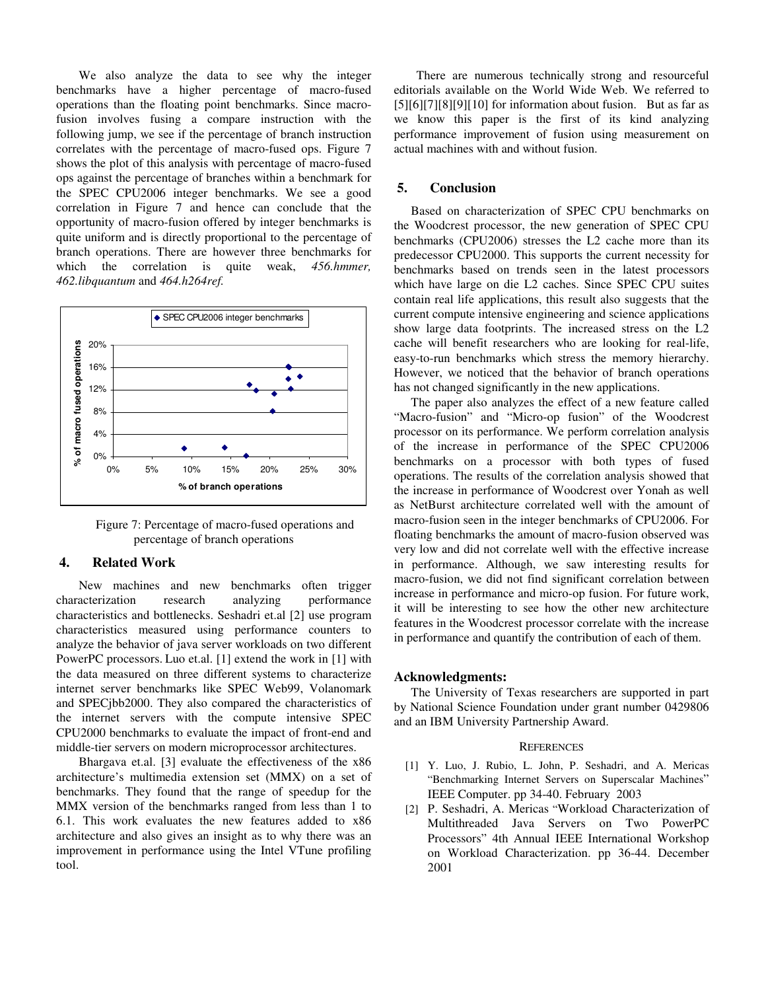We also analyze the data to see why the integer benchmarks have a higher percentage of macro-fused operations than the floating point benchmarks. Since macrofusion involves fusing a compare instruction with the following jump, we see if the percentage of branch instruction correlates with the percentage of macro-fused ops. Figure 7 shows the plot of this analysis with percentage of macro-fused ops against the percentage of branches within a benchmark for the SPEC CPU2006 integer benchmarks. We see a good correlation in Figure 7 and hence can conclude that the opportunity of macro-fusion offered by integer benchmarks is quite uniform and is directly proportional to the percentage of branch operations. There are however three benchmarks for which the correlation is quite weak, 456.hmmer, *462.libquantum* and *464.h264ref.*



Figure 7: Percentage of macro-fused operations and percentage of branch operations

## **4. Related Work**

New machines and new benchmarks often trigger characterization research analyzing performance characteristics and bottlenecks. Seshadri et.al [2] use program characteristics measured using performance counters to analyze the behavior of java server workloads on two different PowerPC processors. Luo et.al. [1] extend the work in [1] with the data measured on three different systems to characterize internet server benchmarks like SPEC Web99, Volanomark and SPECjbb2000. They also compared the characteristics of the internet servers with the compute intensive SPEC CPU2000 benchmarks to evaluate the impact of front-end and middle-tier servers on modern microprocessor architectures.

Bhargava et.al. [3] evaluate the effectiveness of the x86 architecture's multimedia extension set (MMX) on a set of benchmarks. They found that the range of speedup for the MMX version of the benchmarks ranged from less than 1 to 6.1. This work evaluates the new features added to x86 architecture and also gives an insight as to why there was an improvement in performance using the Intel VTune profiling tool.

There are numerous technically strong and resourceful editorials available on the World Wide Web. We referred to  $[5][6][7][8][9][10]$  for information about fusion. But as far as we know this paper is the first of its kind analyzing performance improvement of fusion using measurement on actual machines with and without fusion.

### **5. Conclusion**

Based on characterization of SPEC CPU benchmarks on the Woodcrest processor, the new generation of SPEC CPU benchmarks (CPU2006) stresses the L2 cache more than its predecessor CPU2000. This supports the current necessity for benchmarks based on trends seen in the latest processors which have large on die L2 caches. Since SPEC CPU suites contain real life applications, this result also suggests that the current compute intensive engineering and science applications show large data footprints. The increased stress on the L2 cache will benefit researchers who are looking for real-life, easy-to-run benchmarks which stress the memory hierarchy. However, we noticed that the behavior of branch operations has not changed significantly in the new applications.

The paper also analyzes the effect of a new feature called "Macro-fusion" and "Micro-op fusion" of the Woodcrest processor on its performance. We perform correlation analysis of the increase in performance of the SPEC CPU2006 benchmarks on a processor with both types of fused operations. The results of the correlation analysis showed that the increase in performance of Woodcrest over Yonah as well as NetBurst architecture correlated well with the amount of macro-fusion seen in the integer benchmarks of CPU2006. For floating benchmarks the amount of macro-fusion observed was very low and did not correlate well with the effective increase in performance. Although, we saw interesting results for macro-fusion, we did not find significant correlation between increase in performance and micro-op fusion. For future work, it will be interesting to see how the other new architecture features in the Woodcrest processor correlate with the increase in performance and quantify the contribution of each of them.

#### **Acknowledgments:**

The University of Texas researchers are supported in part by National Science Foundation under grant number 0429806 and an IBM University Partnership Award.

#### **REFERENCES**

- [1] Y. Luo, J. Rubio, L. John, P. Seshadri, and A. Mericas "Benchmarking Internet Servers on Superscalar Machines" IEEE Computer. pp 34-40. February 2003
- [2] P. Seshadri, A. Mericas "Workload Characterization of Multithreaded Java Servers on Two PowerPC Processors" 4th Annual IEEE International Workshop on Workload Characterization. pp 36-44. December 2001